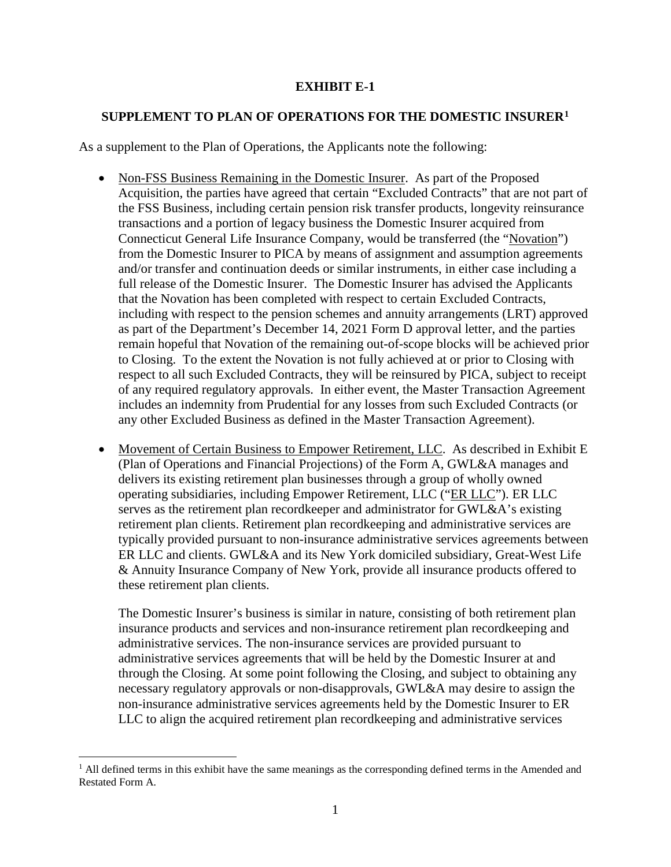## **EXHIBIT E-1**

## **SUPPLEMENT TO PLAN OF OPERATIONS FOR THE DOMESTIC INSURER[1](#page-0-0)**

As a supplement to the Plan of Operations, the Applicants note the following:

- Non-FSS Business Remaining in the Domestic Insurer. As part of the Proposed Acquisition, the parties have agreed that certain "Excluded Contracts" that are not part of the FSS Business, including certain pension risk transfer products, longevity reinsurance transactions and a portion of legacy business the Domestic Insurer acquired from Connecticut General Life Insurance Company, would be transferred (the "Novation") from the Domestic Insurer to PICA by means of assignment and assumption agreements and/or transfer and continuation deeds or similar instruments, in either case including a full release of the Domestic Insurer. The Domestic Insurer has advised the Applicants that the Novation has been completed with respect to certain Excluded Contracts, including with respect to the pension schemes and annuity arrangements (LRT) approved as part of the Department's December 14, 2021 Form D approval letter, and the parties remain hopeful that Novation of the remaining out-of-scope blocks will be achieved prior to Closing. To the extent the Novation is not fully achieved at or prior to Closing with respect to all such Excluded Contracts, they will be reinsured by PICA, subject to receipt of any required regulatory approvals. In either event, the Master Transaction Agreement includes an indemnity from Prudential for any losses from such Excluded Contracts (or any other Excluded Business as defined in the Master Transaction Agreement).
- Movement of Certain Business to Empower Retirement, LLC. As described in Exhibit E (Plan of Operations and Financial Projections) of the Form A, GWL&A manages and delivers its existing retirement plan businesses through a group of wholly owned operating subsidiaries, including Empower Retirement, LLC ("ER LLC"). ER LLC serves as the retirement plan recordkeeper and administrator for GWL&A's existing retirement plan clients. Retirement plan recordkeeping and administrative services are typically provided pursuant to non-insurance administrative services agreements between ER LLC and clients. GWL&A and its New York domiciled subsidiary, Great-West Life & Annuity Insurance Company of New York, provide all insurance products offered to these retirement plan clients.

The Domestic Insurer's business is similar in nature, consisting of both retirement plan insurance products and services and non-insurance retirement plan recordkeeping and administrative services. The non-insurance services are provided pursuant to administrative services agreements that will be held by the Domestic Insurer at and through the Closing. At some point following the Closing, and subject to obtaining any necessary regulatory approvals or non-disapprovals, GWL&A may desire to assign the non-insurance administrative services agreements held by the Domestic Insurer to ER LLC to align the acquired retirement plan recordkeeping and administrative services

<span id="page-0-0"></span> $<sup>1</sup>$  All defined terms in this exhibit have the same meanings as the corresponding defined terms in the Amended and</sup> Restated Form A.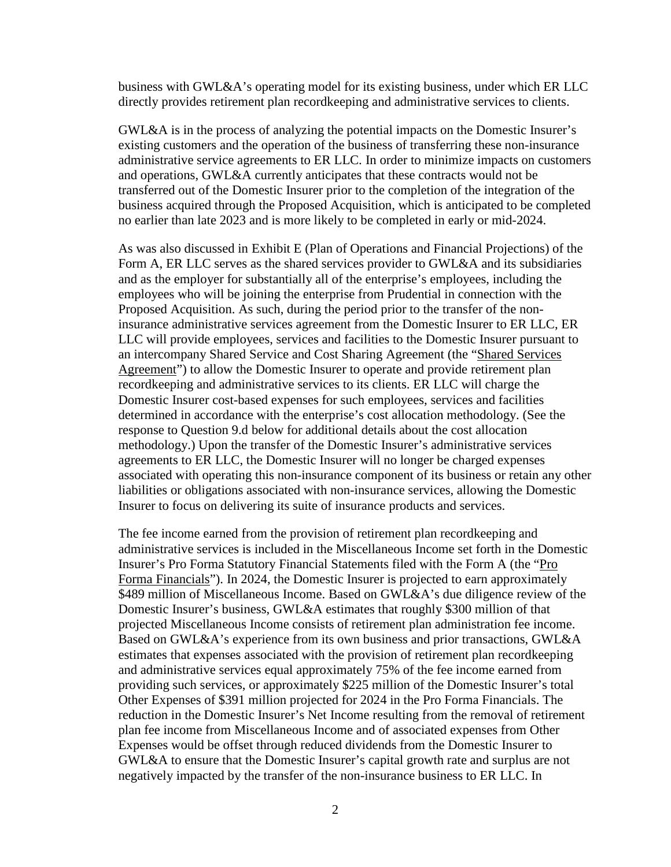business with GWL&A's operating model for its existing business, under which ER LLC directly provides retirement plan recordkeeping and administrative services to clients.

GWL&A is in the process of analyzing the potential impacts on the Domestic Insurer's existing customers and the operation of the business of transferring these non-insurance administrative service agreements to ER LLC. In order to minimize impacts on customers and operations, GWL&A currently anticipates that these contracts would not be transferred out of the Domestic Insurer prior to the completion of the integration of the business acquired through the Proposed Acquisition, which is anticipated to be completed no earlier than late 2023 and is more likely to be completed in early or mid-2024.

As was also discussed in Exhibit E (Plan of Operations and Financial Projections) of the Form A, ER LLC serves as the shared services provider to GWL&A and its subsidiaries and as the employer for substantially all of the enterprise's employees, including the employees who will be joining the enterprise from Prudential in connection with the Proposed Acquisition. As such, during the period prior to the transfer of the noninsurance administrative services agreement from the Domestic Insurer to ER LLC, ER LLC will provide employees, services and facilities to the Domestic Insurer pursuant to an intercompany Shared Service and Cost Sharing Agreement (the "Shared Services Agreement") to allow the Domestic Insurer to operate and provide retirement plan recordkeeping and administrative services to its clients. ER LLC will charge the Domestic Insurer cost-based expenses for such employees, services and facilities determined in accordance with the enterprise's cost allocation methodology. (See the response to Question 9.d below for additional details about the cost allocation methodology.) Upon the transfer of the Domestic Insurer's administrative services agreements to ER LLC, the Domestic Insurer will no longer be charged expenses associated with operating this non-insurance component of its business or retain any other liabilities or obligations associated with non-insurance services, allowing the Domestic Insurer to focus on delivering its suite of insurance products and services.

The fee income earned from the provision of retirement plan recordkeeping and administrative services is included in the Miscellaneous Income set forth in the Domestic Insurer's Pro Forma Statutory Financial Statements filed with the Form A (the "Pro Forma Financials"). In 2024, the Domestic Insurer is projected to earn approximately \$489 million of Miscellaneous Income. Based on GWL&A's due diligence review of the Domestic Insurer's business, GWL&A estimates that roughly \$300 million of that projected Miscellaneous Income consists of retirement plan administration fee income. Based on GWL&A's experience from its own business and prior transactions, GWL&A estimates that expenses associated with the provision of retirement plan recordkeeping and administrative services equal approximately 75% of the fee income earned from providing such services, or approximately \$225 million of the Domestic Insurer's total Other Expenses of \$391 million projected for 2024 in the Pro Forma Financials. The reduction in the Domestic Insurer's Net Income resulting from the removal of retirement plan fee income from Miscellaneous Income and of associated expenses from Other Expenses would be offset through reduced dividends from the Domestic Insurer to GWL&A to ensure that the Domestic Insurer's capital growth rate and surplus are not negatively impacted by the transfer of the non-insurance business to ER LLC. In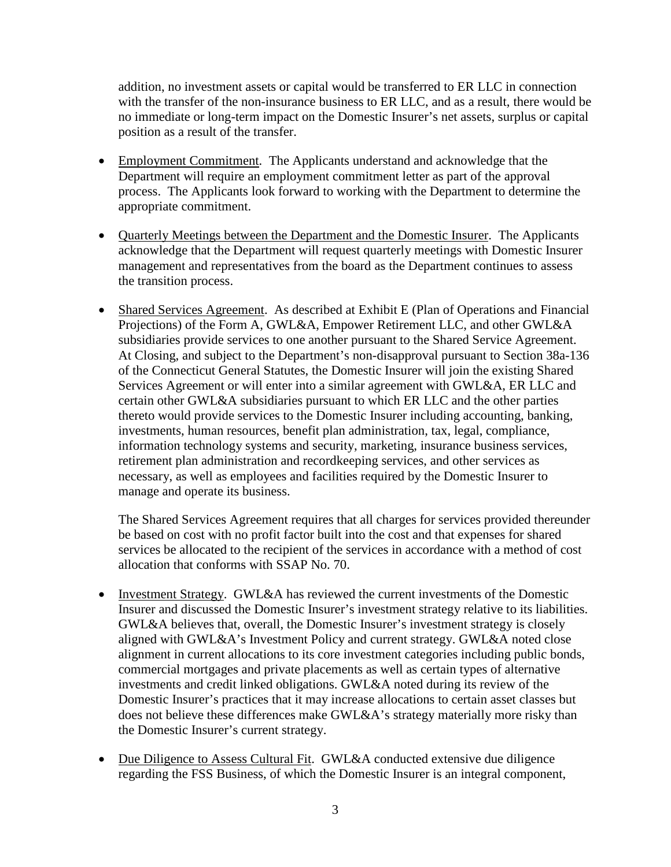addition, no investment assets or capital would be transferred to ER LLC in connection with the transfer of the non-insurance business to ER LLC, and as a result, there would be no immediate or long-term impact on the Domestic Insurer's net assets, surplus or capital position as a result of the transfer.

- Employment Commitment. The Applicants understand and acknowledge that the Department will require an employment commitment letter as part of the approval process. The Applicants look forward to working with the Department to determine the appropriate commitment.
- Quarterly Meetings between the Department and the Domestic Insurer. The Applicants acknowledge that the Department will request quarterly meetings with Domestic Insurer management and representatives from the board as the Department continues to assess the transition process.
- Shared Services Agreement. As described at Exhibit E (Plan of Operations and Financial Projections) of the Form A, GWL&A, Empower Retirement LLC, and other GWL&A subsidiaries provide services to one another pursuant to the Shared Service Agreement. At Closing, and subject to the Department's non-disapproval pursuant to Section 38a-136 of the Connecticut General Statutes, the Domestic Insurer will join the existing Shared Services Agreement or will enter into a similar agreement with GWL&A, ER LLC and certain other GWL&A subsidiaries pursuant to which ER LLC and the other parties thereto would provide services to the Domestic Insurer including accounting, banking, investments, human resources, benefit plan administration, tax, legal, compliance, information technology systems and security, marketing, insurance business services, retirement plan administration and recordkeeping services, and other services as necessary, as well as employees and facilities required by the Domestic Insurer to manage and operate its business.

The Shared Services Agreement requires that all charges for services provided thereunder be based on cost with no profit factor built into the cost and that expenses for shared services be allocated to the recipient of the services in accordance with a method of cost allocation that conforms with SSAP No. 70.

- Investment Strategy. GWL&A has reviewed the current investments of the Domestic Insurer and discussed the Domestic Insurer's investment strategy relative to its liabilities. GWL&A believes that, overall, the Domestic Insurer's investment strategy is closely aligned with GWL&A's Investment Policy and current strategy. GWL&A noted close alignment in current allocations to its core investment categories including public bonds, commercial mortgages and private placements as well as certain types of alternative investments and credit linked obligations. GWL&A noted during its review of the Domestic Insurer's practices that it may increase allocations to certain asset classes but does not believe these differences make GWL&A's strategy materially more risky than the Domestic Insurer's current strategy.
- Due Diligence to Assess Cultural Fit. GWL&A conducted extensive due diligence regarding the FSS Business, of which the Domestic Insurer is an integral component,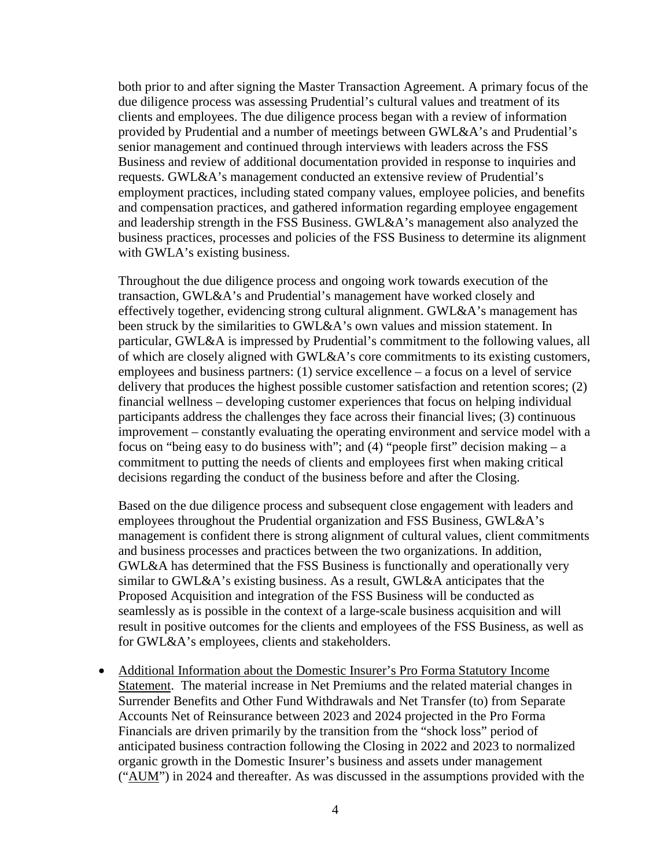both prior to and after signing the Master Transaction Agreement. A primary focus of the due diligence process was assessing Prudential's cultural values and treatment of its clients and employees. The due diligence process began with a review of information provided by Prudential and a number of meetings between GWL&A's and Prudential's senior management and continued through interviews with leaders across the FSS Business and review of additional documentation provided in response to inquiries and requests. GWL&A's management conducted an extensive review of Prudential's employment practices, including stated company values, employee policies, and benefits and compensation practices, and gathered information regarding employee engagement and leadership strength in the FSS Business. GWL&A's management also analyzed the business practices, processes and policies of the FSS Business to determine its alignment with GWLA's existing business.

Throughout the due diligence process and ongoing work towards execution of the transaction, GWL&A's and Prudential's management have worked closely and effectively together, evidencing strong cultural alignment. GWL&A's management has been struck by the similarities to GWL&A's own values and mission statement. In particular, GWL&A is impressed by Prudential's commitment to the following values, all of which are closely aligned with GWL&A's core commitments to its existing customers, employees and business partners: (1) service excellence – a focus on a level of service delivery that produces the highest possible customer satisfaction and retention scores; (2) financial wellness – developing customer experiences that focus on helping individual participants address the challenges they face across their financial lives; (3) continuous improvement – constantly evaluating the operating environment and service model with a focus on "being easy to do business with"; and  $(4)$  "people first" decision making  $- a$ commitment to putting the needs of clients and employees first when making critical decisions regarding the conduct of the business before and after the Closing.

Based on the due diligence process and subsequent close engagement with leaders and employees throughout the Prudential organization and FSS Business, GWL&A's management is confident there is strong alignment of cultural values, client commitments and business processes and practices between the two organizations. In addition, GWL&A has determined that the FSS Business is functionally and operationally very similar to GWL&A's existing business. As a result, GWL&A anticipates that the Proposed Acquisition and integration of the FSS Business will be conducted as seamlessly as is possible in the context of a large-scale business acquisition and will result in positive outcomes for the clients and employees of the FSS Business, as well as for GWL&A's employees, clients and stakeholders.

• Additional Information about the Domestic Insurer's Pro Forma Statutory Income Statement. The material increase in Net Premiums and the related material changes in Surrender Benefits and Other Fund Withdrawals and Net Transfer (to) from Separate Accounts Net of Reinsurance between 2023 and 2024 projected in the Pro Forma Financials are driven primarily by the transition from the "shock loss" period of anticipated business contraction following the Closing in 2022 and 2023 to normalized organic growth in the Domestic Insurer's business and assets under management  $("AUM")$  in 2024 and thereafter. As was discussed in the assumptions provided with the